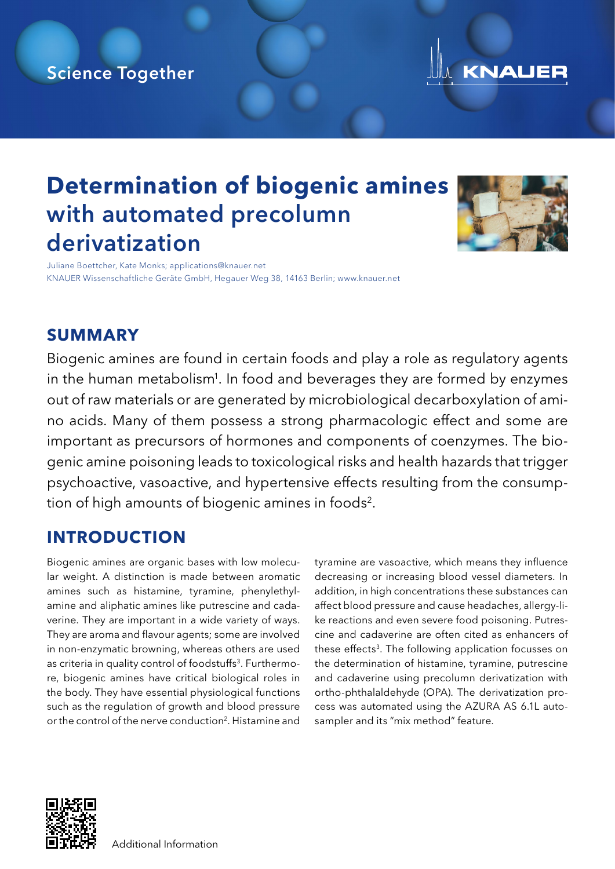## Science Together



## **Determination of biogenic amines** with automated precolumn derivatization



Juliane Boettcher, Kate Monks; applications@knauer.net KNAUER Wissenschaftliche Geräte GmbH, Hegauer Weg 38, 14163 Berlin; www.knauer.net

#### **SUMMARY**

Biogenic amines are found in certain foods and play a role as regulatory agents in the human metabolism<sup>1</sup>. In food and beverages they are formed by enzymes out of raw materials or are generated by microbiological decarboxylation of amino acids. Many of them possess a strong pharmacologic effect and some are important as precursors of hormones and components of coenzymes. The biogenic amine poisoning leads to toxicological risks and health hazards that trigger psychoactive, vasoactive, and hypertensive effects resulting from the consumption of high amounts of biogenic amines in foods<sup>2</sup>.

### **INTRODUCTION**

Biogenic amines are organic bases with low molecular weight. A distinction is made between aromatic amines such as histamine, tyramine, phenylethylamine and aliphatic amines like putrescine and cadaverine. They are important in a wide variety of ways. They are aroma and flavour agents; some are involved in non-enzymatic browning, whereas others are used as criteria in quality control of foodstuffs<sup>3</sup>. Furthermore, biogenic amines have critical biological roles in the body. They have essential physiological functions such as the regulation of growth and blood pressure or the control of the nerve conduction<sup>2</sup>. Histamine and

tyramine are vasoactive, which means they influence decreasing or increasing blood vessel diameters. In addition, in high concentrations these substances can affect blood pressure and cause headaches, allergy-like reactions and even severe food poisoning. Putrescine and cadaverine are often cited as enhancers of these effects<sup>3</sup>. The following application focusses on the determination of histamine, tyramine, putrescine and cadaverine using precolumn derivatization with ortho-phthalaldehyde (OPA). The derivatization process was automated using the AZURA AS 6.1L autosampler and its "mix method" feature.

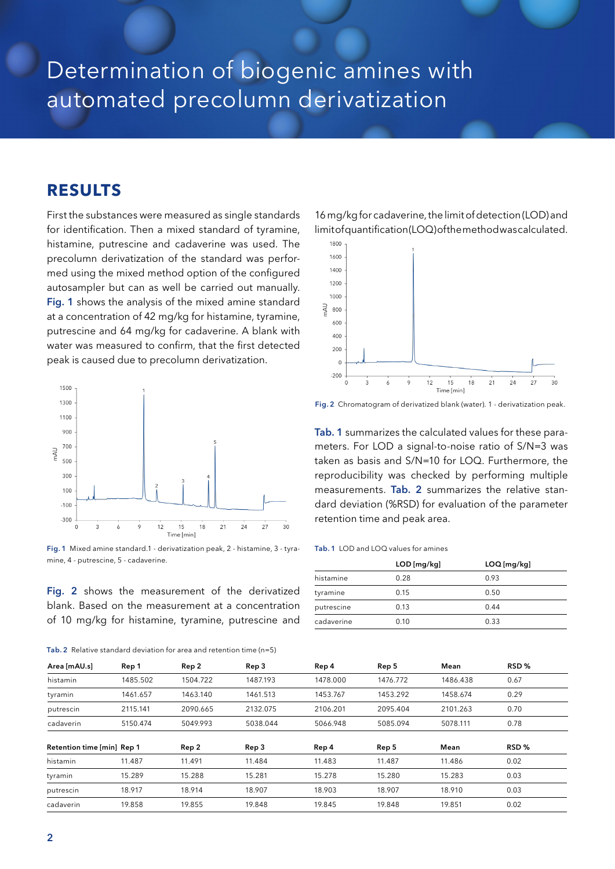# Determination of biogenic amines with automated precolumn derivatization

#### **RESULTS**

First the substances were measured as single standards for identification. Then a mixed standard of tyramine, histamine, putrescine and cadaverine was used. The precolumn derivatization of the standard was performed using the mixed method option of the configured autosampler but can as well be carried out manually. Fig. 1 shows the analysis of the mixed amine standard at a concentration of 42 mg/kg for histamine, tyramine, putrescine and 64 mg/kg for cadaverine. A blank with water was measured to confirm, that the first detected peak is caused due to precolumn derivatization.



Fig. 1 Mixed amine standard.1 - derivatization peak, 2 - histamine, 3 - tyramine, 4 - putrescine, 5 - cadaverine.

Fig. 2 shows the measurement of the derivatized blank. Based on the measurement at a concentration of 10 mg/kg for histamine, tyramine, putrescine and

| Tab. 2 Relative standard deviation for area and retention time $(n=5)$ |  |
|------------------------------------------------------------------------|--|
|------------------------------------------------------------------------|--|

16 mg/kg for cadaverine, the limit of detection (LOD) and limit of quantification (LOQ) of the method was calculated.



Fig. 2 Chromatogram of derivatized blank (water). 1 - derivatization peak.

Tab. 1 summarizes the calculated values for these parameters. For LOD a signal-to-noise ratio of S/N=3 was taken as basis and S/N=10 for LOQ. Furthermore, the reproducibility was checked by performing multiple measurements. Tab. 2 summarizes the relative standard deviation (%RSD) for evaluation of the parameter retention time and peak area.

#### Tab. 1 LOD and LOQ values for amines

|            | $LOD$ [mg/kg] | $LOQ$ [mg/kg] |
|------------|---------------|---------------|
| histamine  | 0.28          | 0.93          |
| tyramine   | 0.15          | 0.50          |
| putrescine | 0.13          | 0.44          |
| cadaverine | 0.10          | 0.33          |

| Area [mAU.s]               | Rep 1    | Rep 2    | Rep 3    | Rep 4    | Rep 5    | Mean     | RSD%  |
|----------------------------|----------|----------|----------|----------|----------|----------|-------|
| histamin                   | 1485.502 | 1504.722 | 1487.193 | 1478.000 | 1476.772 | 1486.438 | 0.67  |
| tyramin                    | 1461.657 | 1463.140 | 1461.513 | 1453.767 | 1453.292 | 1458.674 | 0.29  |
| putrescin                  | 2115.141 | 2090.665 | 2132.075 | 2106.201 | 2095.404 | 2101.263 | 0.70  |
| cadaverin                  | 5150.474 | 5049.993 | 5038.044 | 5066.948 | 5085.094 | 5078.111 | 0.78  |
| Retention time [min] Rep 1 |          | Rep 2    | Rep 3    | Rep 4    | Rep 5    | Mean     | RSD % |
| histamin                   | 11.487   | 11.491   | 11.484   | 11.483   | 11.487   | 11.486   | 0.02  |
| tyramin                    | 15.289   | 15.288   | 15.281   | 15.278   | 15.280   | 15.283   | 0.03  |
| putrescin                  | 18.917   | 18.914   | 18.907   | 18.903   | 18.907   | 18.910   | 0.03  |
| cadaverin                  | 19.858   | 19.855   | 19.848   | 19.845   | 19.848   | 19.851   | 0.02  |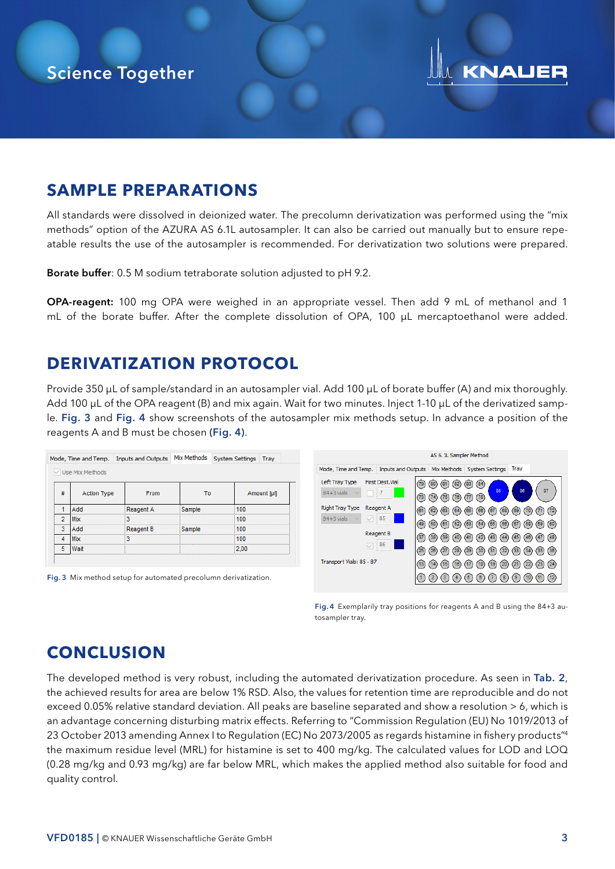# **KNAUER**

### **SAMPLE PREPARATIONS**

All standards were dissolved in deionized water. The precolumn derivatization was performed using the "mix methods" option of the AZURA AS 6.1L autosampler. It can also be carried out manually but to ensure repeatable results the use of the autosampler is recommended. For derivatization two solutions were prepared.

**Borate buffer**: 0.5 M sodium tetraborate solution adjusted to pH 9.2.

OPA-reagent: 100 mg OPA were weighed in an appropriate vessel. Then add 9 mL of methanol and 1 mL of the borate buffer. After the complete dissolution of OPA, 100 µL mercaptoethanol were added.

### **DERIVATIZATION PROTOCOL**

Provide 350 µL of sample/standard in an autosampler vial. Add 100 µL of borate buffer (A) and mix thoroughly. Add 100 µL of the OPA reagent (B) and mix again. Wait for two minutes. Inject 1-10 µL of the derivatized sample. Fig. 3 and Fig. 4 show screenshots of the autosampler mix methods setup. In advance a position of the reagents A and B must be chosen (Fig. 4).



Fig. 4 Exemplarily tray positions for reagents A and B using the 84+3 autosampler tray.

## **CONCLUSION**

The developed method is very robust, including the automated derivatization procedure. As seen in Tab. 2, the achieved results for area are below 1% RSD. Also, the values for retention time are reproducible and do not exceed 0.05% relative standard deviation. All peaks are baseline separated and show a resolution > 6, which is an advantage concerning disturbing matrix effects. Referring to "Commission Regulation (EU) No 1019/2013 of 23 October 2013 amending Annex I to Regulation (EC) No 2073/2005 as regards histamine in fishery products"4 the maximum residue level (MRL) for histamine is set to 400 mg/kg. The calculated values for LOD and LOQ (0.28 mg/kg and 0.93 mg/kg) are far below MRL, which makes the applied method also suitable for food and quality control.